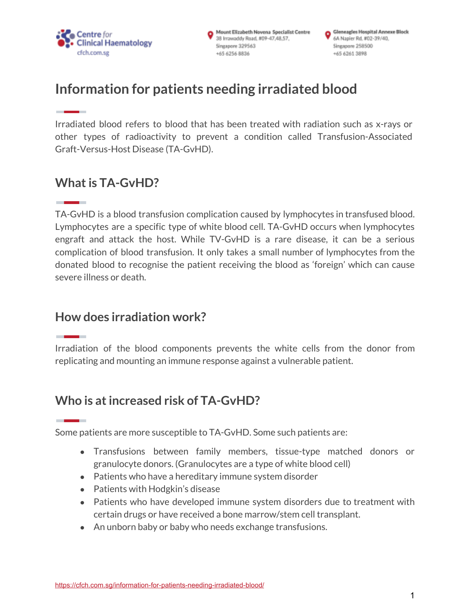

Mount Elizabeth Novena Specialist Centre 38 Irrawaddy Road, #09-47,48,57, Singapore 329563 +65 6256 8836

Gleneagles Hospital Annexe Block 6A Napier Rd, #02-39/40, Singapore 258500 +65 6261 3898

# **Information for patients needing irradiated blood**

Irradiated blood refers to blood that has been treated with radiation such as x-rays or other types of radioactivity to prevent a condition called Transfusion-Associated Graft-Versus-Host Disease (TA-GvHD).

# **What is TA-GvHD?**

TA-GvHD is a blood transfusion complication caused by lymphocytes in transfused blood. Lymphocytes are a specific type of white blood cell. TA-GvHD occurs when lymphocytes engraft and attack the host. While TV-GvHD is a rare disease, it can be a serious complication of blood transfusion. It only takes a small number of lymphocytes from the donated blood to recognise the patient receiving the blood as 'foreign' which can cause severe illness or death.

# **How does irradiation work?**

Irradiation of the blood components prevents the white cells from the donor from replicating and mounting an immune response against a vulnerable patient.

# **Who is atincreased risk of TA-GvHD?**

Some patients are more susceptible to TA-GvHD. Some such patients are:

- Transfusions between family members, tissue-type matched donors or granulocyte donors. (Granulocytes are a type of white blood cell)
- Patients who have a hereditary immune system disorder
- Patients with Hodgkin's disease
- Patients who have developed immune system disorders due to treatment with certain drugs or have received a bone marrow/stem cell transplant.
- An unborn baby or baby who needs exchange transfusions.